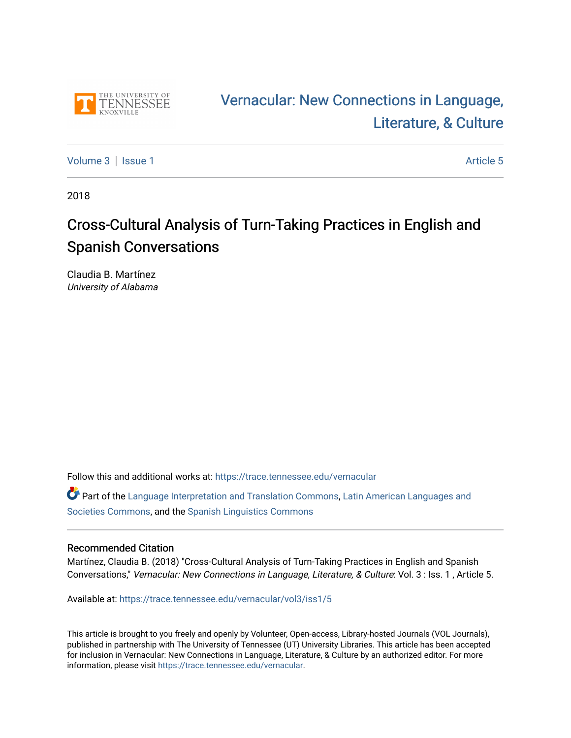

# [Vernacular: New Connections in Language,](https://trace.tennessee.edu/vernacular)  [Literature, & Culture](https://trace.tennessee.edu/vernacular)

[Volume 3](https://trace.tennessee.edu/vernacular/vol3) | [Issue 1](https://trace.tennessee.edu/vernacular/vol3/iss1) Article 5

2018

# Cross-Cultural Analysis of Turn-Taking Practices in English and Spanish Conversations

Claudia B. Martínez University of Alabama

Follow this and additional works at: [https://trace.tennessee.edu/vernacular](https://trace.tennessee.edu/vernacular?utm_source=trace.tennessee.edu%2Fvernacular%2Fvol3%2Fiss1%2F5&utm_medium=PDF&utm_campaign=PDFCoverPages) 

Part of the [Language Interpretation and Translation Commons](http://network.bepress.com/hgg/discipline/1391?utm_source=trace.tennessee.edu%2Fvernacular%2Fvol3%2Fiss1%2F5&utm_medium=PDF&utm_campaign=PDFCoverPages), [Latin American Languages and](http://network.bepress.com/hgg/discipline/483?utm_source=trace.tennessee.edu%2Fvernacular%2Fvol3%2Fiss1%2F5&utm_medium=PDF&utm_campaign=PDFCoverPages) [Societies Commons](http://network.bepress.com/hgg/discipline/483?utm_source=trace.tennessee.edu%2Fvernacular%2Fvol3%2Fiss1%2F5&utm_medium=PDF&utm_campaign=PDFCoverPages), and the [Spanish Linguistics Commons](http://network.bepress.com/hgg/discipline/549?utm_source=trace.tennessee.edu%2Fvernacular%2Fvol3%2Fiss1%2F5&utm_medium=PDF&utm_campaign=PDFCoverPages)

#### Recommended Citation

Martínez, Claudia B. (2018) "Cross-Cultural Analysis of Turn-Taking Practices in English and Spanish Conversations," Vernacular: New Connections in Language, Literature, & Culture: Vol. 3 : Iss. 1 , Article 5.

Available at: [https://trace.tennessee.edu/vernacular/vol3/iss1/5](https://trace.tennessee.edu/vernacular/vol3/iss1/5?utm_source=trace.tennessee.edu%2Fvernacular%2Fvol3%2Fiss1%2F5&utm_medium=PDF&utm_campaign=PDFCoverPages) 

This article is brought to you freely and openly by Volunteer, Open-access, Library-hosted Journals (VOL Journals), published in partnership with The University of Tennessee (UT) University Libraries. This article has been accepted for inclusion in Vernacular: New Connections in Language, Literature, & Culture by an authorized editor. For more information, please visit <https://trace.tennessee.edu/vernacular>.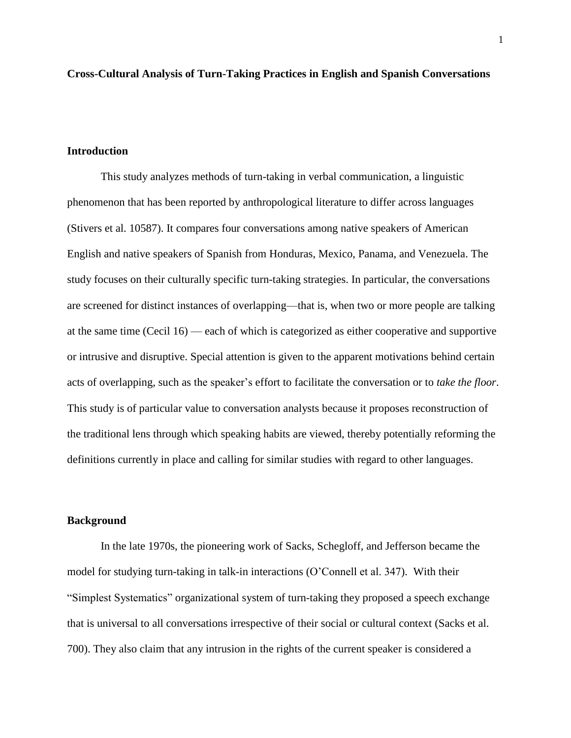**Cross-Cultural Analysis of Turn-Taking Practices in English and Spanish Conversations**

#### **Introduction**

This study analyzes methods of turn-taking in verbal communication, a linguistic phenomenon that has been reported by anthropological literature to differ across languages (Stivers et al. 10587). It compares four conversations among native speakers of American English and native speakers of Spanish from Honduras, Mexico, Panama, and Venezuela. The study focuses on their culturally specific turn-taking strategies. In particular, the conversations are screened for distinct instances of overlapping—that is, when two or more people are talking at the same time (Cecil 16) — each of which is categorized as either cooperative and supportive or intrusive and disruptive. Special attention is given to the apparent motivations behind certain acts of overlapping, such as the speaker's effort to facilitate the conversation or to *take the floor*. This study is of particular value to conversation analysts because it proposes reconstruction of the traditional lens through which speaking habits are viewed, thereby potentially reforming the definitions currently in place and calling for similar studies with regard to other languages.

# **Background**

In the late 1970s, the pioneering work of Sacks, Schegloff, and Jefferson became the model for studying turn-taking in talk-in interactions (O'Connell et al. 347). With their "Simplest Systematics" organizational system of turn-taking they proposed a speech exchange that is universal to all conversations irrespective of their social or cultural context (Sacks et al. 700). They also claim that any intrusion in the rights of the current speaker is considered a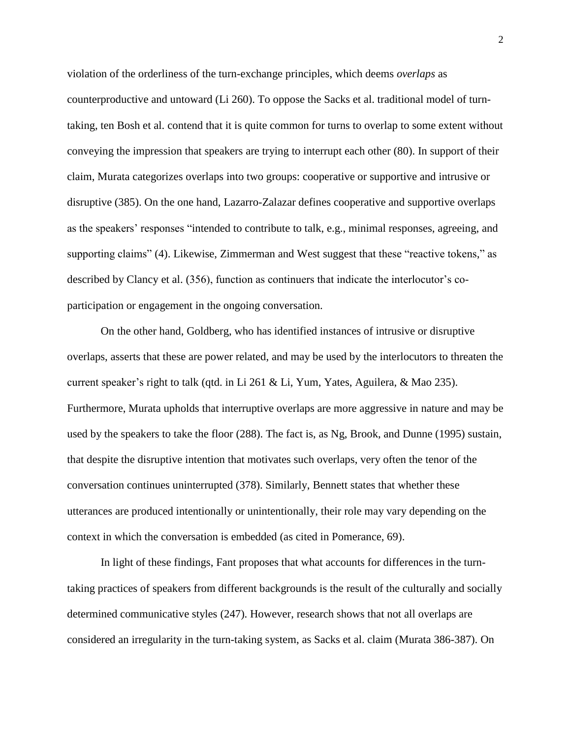violation of the orderliness of the turn-exchange principles, which deems *overlaps* as counterproductive and untoward (Li 260). To oppose the Sacks et al. traditional model of turntaking, ten Bosh et al. contend that it is quite common for turns to overlap to some extent without conveying the impression that speakers are trying to interrupt each other (80). In support of their claim, Murata categorizes overlaps into two groups: cooperative or supportive and intrusive or disruptive (385). On the one hand, Lazarro-Zalazar defines cooperative and supportive overlaps as the speakers' responses "intended to contribute to talk, e.g., minimal responses, agreeing, and supporting claims" (4). Likewise, Zimmerman and West suggest that these "reactive tokens," as described by Clancy et al. (356), function as continuers that indicate the interlocutor's coparticipation or engagement in the ongoing conversation.

On the other hand, Goldberg, who has identified instances of intrusive or disruptive overlaps, asserts that these are power related, and may be used by the interlocutors to threaten the current speaker's right to talk (qtd. in Li 261 & Li, Yum, Yates, Aguilera, & Mao 235). Furthermore, Murata upholds that interruptive overlaps are more aggressive in nature and may be used by the speakers to take the floor (288). The fact is, as Ng, Brook, and Dunne (1995) sustain, that despite the disruptive intention that motivates such overlaps, very often the tenor of the conversation continues uninterrupted (378). Similarly, Bennett states that whether these utterances are produced intentionally or unintentionally, their role may vary depending on the context in which the conversation is embedded (as cited in Pomerance, 69).

In light of these findings, Fant proposes that what accounts for differences in the turntaking practices of speakers from different backgrounds is the result of the culturally and socially determined communicative styles (247). However, research shows that not all overlaps are considered an irregularity in the turn-taking system, as Sacks et al. claim (Murata 386-387). On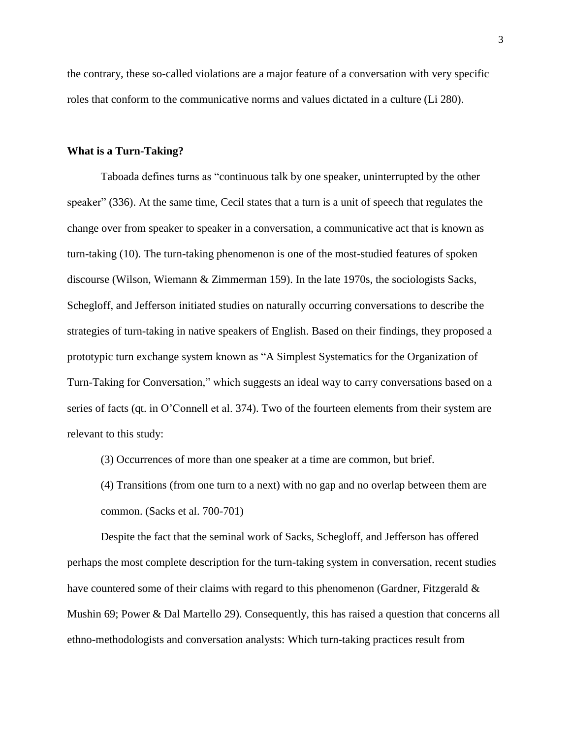the contrary, these so-called violations are a major feature of a conversation with very specific roles that conform to the communicative norms and values dictated in a culture (Li 280).

#### **What is a Turn-Taking?**

Taboada defines turns as "continuous talk by one speaker, uninterrupted by the other speaker" (336). At the same time, Cecil states that a turn is a unit of speech that regulates the change over from speaker to speaker in a conversation, a communicative act that is known as turn-taking (10). The turn-taking phenomenon is one of the most-studied features of spoken discourse (Wilson, Wiemann & Zimmerman 159). In the late 1970s, the sociologists Sacks, Schegloff, and Jefferson initiated studies on naturally occurring conversations to describe the strategies of turn-taking in native speakers of English. Based on their findings, they proposed a prototypic turn exchange system known as "A Simplest Systematics for the Organization of Turn-Taking for Conversation," which suggests an ideal way to carry conversations based on a series of facts (qt. in O'Connell et al. 374). Two of the fourteen elements from their system are relevant to this study:

(3) Occurrences of more than one speaker at a time are common, but brief.

(4) Transitions (from one turn to a next) with no gap and no overlap between them are common. (Sacks et al. 700-701)

Despite the fact that the seminal work of Sacks, Schegloff, and Jefferson has offered perhaps the most complete description for the turn-taking system in conversation, recent studies have countered some of their claims with regard to this phenomenon (Gardner, Fitzgerald & Mushin 69; Power & Dal Martello 29). Consequently, this has raised a question that concerns all ethno-methodologists and conversation analysts: Which turn-taking practices result from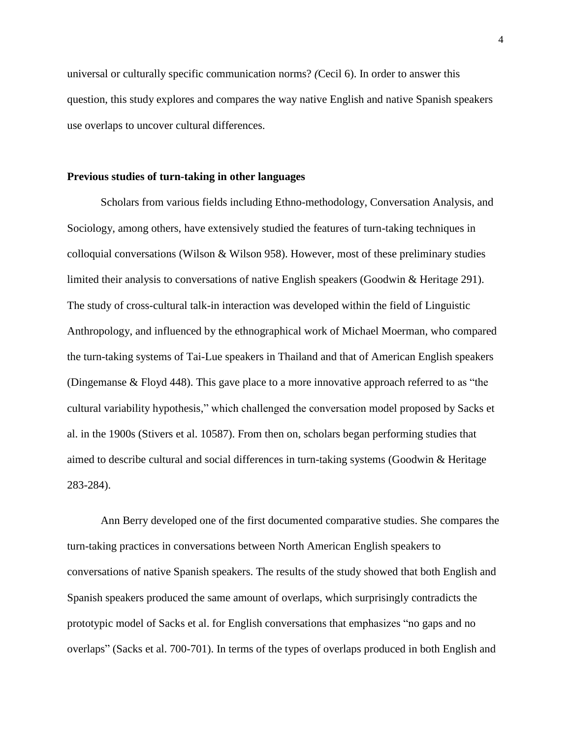universal or culturally specific communication norms? *(*Cecil 6). In order to answer this question, this study explores and compares the way native English and native Spanish speakers use overlaps to uncover cultural differences.

#### **Previous studies of turn-taking in other languages**

Scholars from various fields including Ethno-methodology, Conversation Analysis, and Sociology, among others, have extensively studied the features of turn-taking techniques in colloquial conversations (Wilson  $\&$  Wilson 958). However, most of these preliminary studies limited their analysis to conversations of native English speakers (Goodwin & Heritage 291). The study of cross-cultural talk-in interaction was developed within the field of Linguistic Anthropology, and influenced by the ethnographical work of Michael Moerman, who compared the turn-taking systems of Tai-Lue speakers in Thailand and that of American English speakers (Dingemanse & Floyd 448). This gave place to a more innovative approach referred to as "the cultural variability hypothesis," which challenged the conversation model proposed by Sacks et al. in the 1900s (Stivers et al. 10587). From then on, scholars began performing studies that aimed to describe cultural and social differences in turn-taking systems (Goodwin & Heritage 283-284).

Ann Berry developed one of the first documented comparative studies. She compares the turn-taking practices in conversations between North American English speakers to conversations of native Spanish speakers. The results of the study showed that both English and Spanish speakers produced the same amount of overlaps, which surprisingly contradicts the prototypic model of Sacks et al. for English conversations that emphasizes "no gaps and no overlaps" (Sacks et al. 700-701). In terms of the types of overlaps produced in both English and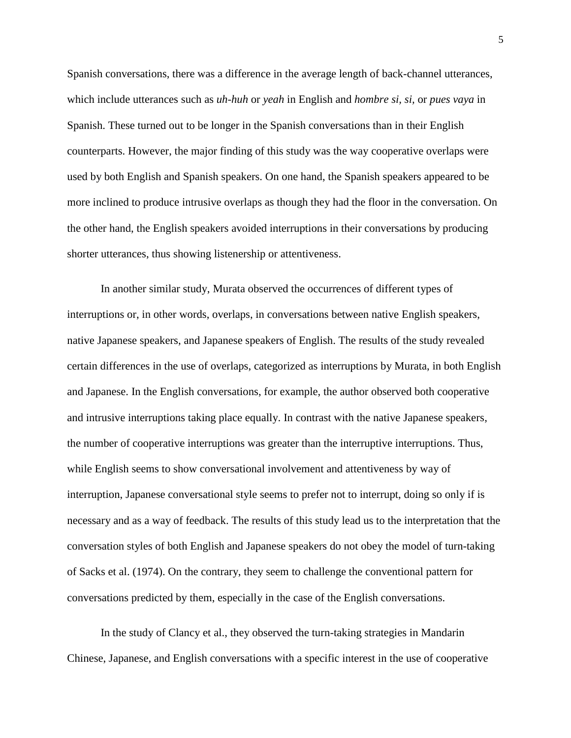Spanish conversations, there was a difference in the average length of back-channel utterances, which include utterances such as *uh-huh* or *yeah* in English and *hombre si, si,* or *pues vaya* in Spanish. These turned out to be longer in the Spanish conversations than in their English counterparts. However, the major finding of this study was the way cooperative overlaps were used by both English and Spanish speakers. On one hand, the Spanish speakers appeared to be more inclined to produce intrusive overlaps as though they had the floor in the conversation. On the other hand, the English speakers avoided interruptions in their conversations by producing shorter utterances, thus showing listenership or attentiveness.

In another similar study, Murata observed the occurrences of different types of interruptions or, in other words, overlaps, in conversations between native English speakers, native Japanese speakers, and Japanese speakers of English. The results of the study revealed certain differences in the use of overlaps, categorized as interruptions by Murata, in both English and Japanese. In the English conversations, for example, the author observed both cooperative and intrusive interruptions taking place equally. In contrast with the native Japanese speakers, the number of cooperative interruptions was greater than the interruptive interruptions. Thus, while English seems to show conversational involvement and attentiveness by way of interruption, Japanese conversational style seems to prefer not to interrupt, doing so only if is necessary and as a way of feedback. The results of this study lead us to the interpretation that the conversation styles of both English and Japanese speakers do not obey the model of turn-taking of Sacks et al. (1974). On the contrary, they seem to challenge the conventional pattern for conversations predicted by them, especially in the case of the English conversations.

In the study of Clancy et al., they observed the turn-taking strategies in Mandarin Chinese, Japanese, and English conversations with a specific interest in the use of cooperative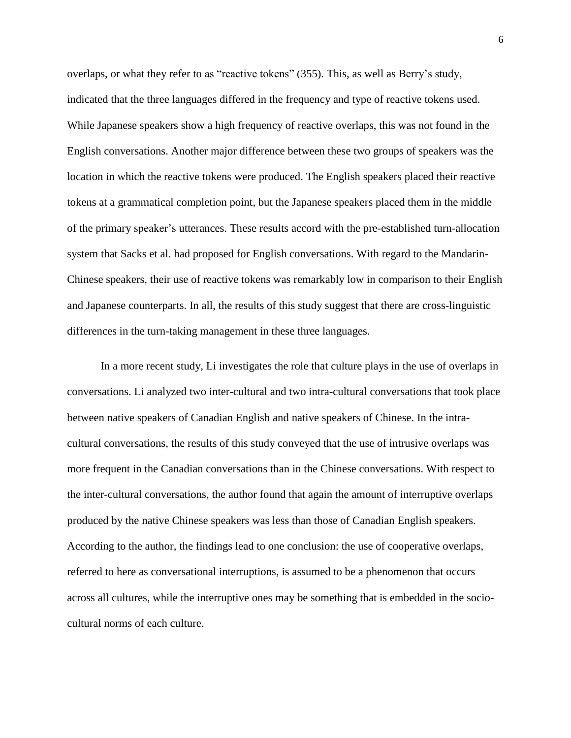overlaps, or what they refer to as "reactive tokens" (355). This, as well as Berry's study, indicated that the three languages differed in the frequency and type of reactive tokens used. While Japanese speakers show a high frequency of reactive overlaps, this was not found in the English conversations. Another major difference between these two groups of speakers was the location in which the reactive tokens were produced. The English speakers placed their reactive tokens at a grammatical completion point, but the Japanese speakers placed them in the middle of the primary speaker's utterances. These results accord with the pre-established turn-allocation system that Sacks et al. had proposed for English conversations. With regard to the Mandarin-Chinese speakers, their use of reactive tokens was remarkably low in comparison to their English and Japanese counterparts. In all, the results of this study suggest that there are cross-linguistic differences in the turn-taking management in these three languages.

In a more recent study, Li investigates the role that culture plays in the use of overlaps in conversations. Li analyzed two inter-cultural and two intra-cultural conversations that took place between native speakers of Canadian English and native speakers of Chinese. In the intracultural conversations, the results of this study conveyed that the use of intrusive overlaps was more frequent in the Canadian conversations than in the Chinese conversations. With respect to the inter-cultural conversations, the author found that again the amount of interruptive overlaps produced by the native Chinese speakers was less than those of Canadian English speakers. According to the author, the findings lead to one conclusion: the use of cooperative overlaps, referred to here as conversational interruptions, is assumed to be a phenomenon that occurs across all cultures, while the interruptive ones may be something that is embedded in the sociocultural norms of each culture.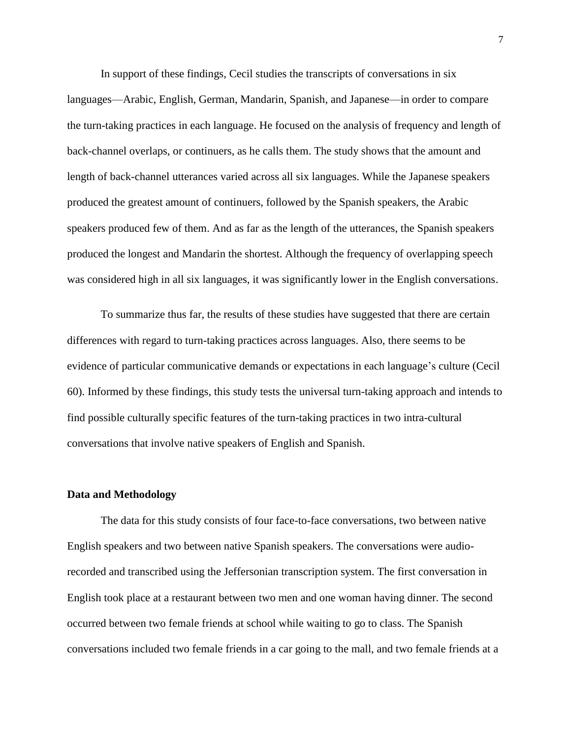In support of these findings, Cecil studies the transcripts of conversations in six languages—Arabic, English, German, Mandarin, Spanish, and Japanese—in order to compare the turn-taking practices in each language. He focused on the analysis of frequency and length of back-channel overlaps, or continuers, as he calls them. The study shows that the amount and length of back-channel utterances varied across all six languages. While the Japanese speakers produced the greatest amount of continuers, followed by the Spanish speakers, the Arabic speakers produced few of them. And as far as the length of the utterances, the Spanish speakers produced the longest and Mandarin the shortest. Although the frequency of overlapping speech was considered high in all six languages, it was significantly lower in the English conversations.

To summarize thus far, the results of these studies have suggested that there are certain differences with regard to turn-taking practices across languages. Also, there seems to be evidence of particular communicative demands or expectations in each language's culture (Cecil 60). Informed by these findings, this study tests the universal turn-taking approach and intends to find possible culturally specific features of the turn-taking practices in two intra-cultural conversations that involve native speakers of English and Spanish.

#### **Data and Methodology**

The data for this study consists of four face-to-face conversations, two between native English speakers and two between native Spanish speakers. The conversations were audiorecorded and transcribed using the Jeffersonian transcription system. The first conversation in English took place at a restaurant between two men and one woman having dinner. The second occurred between two female friends at school while waiting to go to class. The Spanish conversations included two female friends in a car going to the mall, and two female friends at a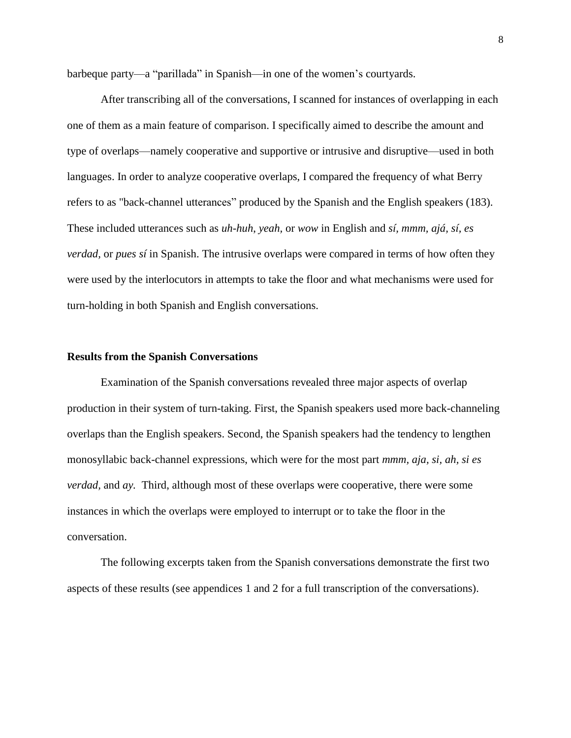barbeque party—a "parillada" in Spanish—in one of the women's courtyards.

After transcribing all of the conversations, I scanned for instances of overlapping in each one of them as a main feature of comparison. I specifically aimed to describe the amount and type of overlaps—namely cooperative and supportive or intrusive and disruptive—used in both languages. In order to analyze cooperative overlaps, I compared the frequency of what Berry refers to as "back-channel utterances" produced by the Spanish and the English speakers (183). These included utterances such as *uh-huh*, *yeah,* or *wow* in English and *sí, mmm, ajá, sí, es verdad,* or *pues sí* in Spanish. The intrusive overlaps were compared in terms of how often they were used by the interlocutors in attempts to take the floor and what mechanisms were used for turn-holding in both Spanish and English conversations.

#### **Results from the Spanish Conversations**

Examination of the Spanish conversations revealed three major aspects of overlap production in their system of turn-taking. First, the Spanish speakers used more back-channeling overlaps than the English speakers. Second, the Spanish speakers had the tendency to lengthen monosyllabic back-channel expressions, which were for the most part *mmm, aja, si, ah, si es verdad,* and *ay.* Third, although most of these overlaps were cooperative, there were some instances in which the overlaps were employed to interrupt or to take the floor in the conversation.

The following excerpts taken from the Spanish conversations demonstrate the first two aspects of these results (see appendices 1 and 2 for a full transcription of the conversations).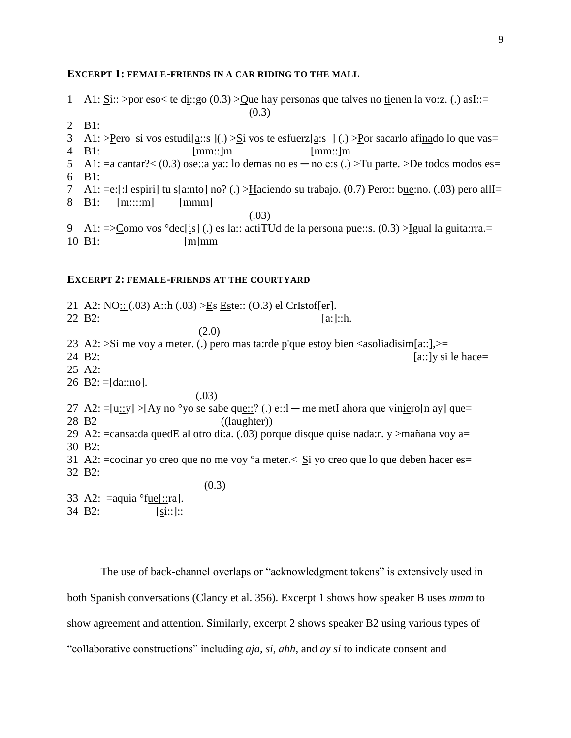#### **EXCERPT 1: FEMALE-FRIENDS IN A CAR RIDING TO THE MALL**

- 1 A1:  $\text{Si::} > \text{por} \text{ eso} < \text{te} \text{ di::go} (0.3) > \text{Que}$  hay personas que talves no tienen la vo:z. (.) asI::=  $(0.3)$
- 2 B1:
- 3 A1: >Pero si vos estudi $[a::s]$ (.) > $\Sigma$ i vos te esfuerz $[a:s]$ (.) >Por sacarlo afinado lo que vas= 4 B1: [mm::]m [mm::]m
- 5 A1: = a cantar?  $\lt$  (0.3) ose: a ya:: lo demas no es no e: s (.)  $\gt$  Tu parte.  $\gt$  De todos modos es = 6 B1:
- 
- 7 A1: =e:[:l espiri] tu s[a:nto] no? (.) >Haciendo su trabajo. (0.7) Pero:: bue:no. (.03) pero allI=
- 8 B1: [m::::m] [mmm]
- (.03)
- 9 A1:  $\leq$  Como vos °dec[is] (.) es la:: actiTUd de la persona pue::s. (0.3) >Igual la guita:rra.= 10 B1: [m]mm

# **EXCERPT 2: FEMALE-FRIENDS AT THE COURTYARD**

21 A2:  $NO: (03)$  A::h  $(.03)$   $>E$ s Este::  $(O.3)$  el CrIstof[er]. 22 B2: [a:]::h. (2.0) 23 A2:  $>$ Si me voy a meter. (.) pero mas ta:rde p'que estoy bien  $\langle$  asoliadisim $[a::] \rangle$  = 24 B2:  $[a::]$ y si le hace= 25 A2: 26 B2:  $=[\text{da::no}].$  (.03) 27 A2:  $=[u::y] > [Ay no^{\circ}yo \text{ se } sabe \text{ que}::? (.) e::l$  — me metI ahora que viniero[n ay] que= 28 B2 ((laughter)) 29 A2: =cansa:da quedE al otro di:a. (.03) porque disque quise nada:r. y >mañana voy a= 30 B2: 31 A2: = cocinar yo creo que no me voy  $\degree a$  meter.  $\lt$   $\leq$  yo creo que lo que deben hacer es = 32 B2: (0.3) 33 A2:  $=$ aquia  $\text{``fue}$ ::ra].

34 B2: [si::]::

The use of back-channel overlaps or "acknowledgment tokens" is extensively used in both Spanish conversations (Clancy et al. 356). Excerpt 1 shows how speaker B uses *mmm* to show agreement and attention. Similarly, excerpt 2 shows speaker B2 using various types of "collaborative constructions" including *aja, si, ahh*, and *ay si* to indicate consent and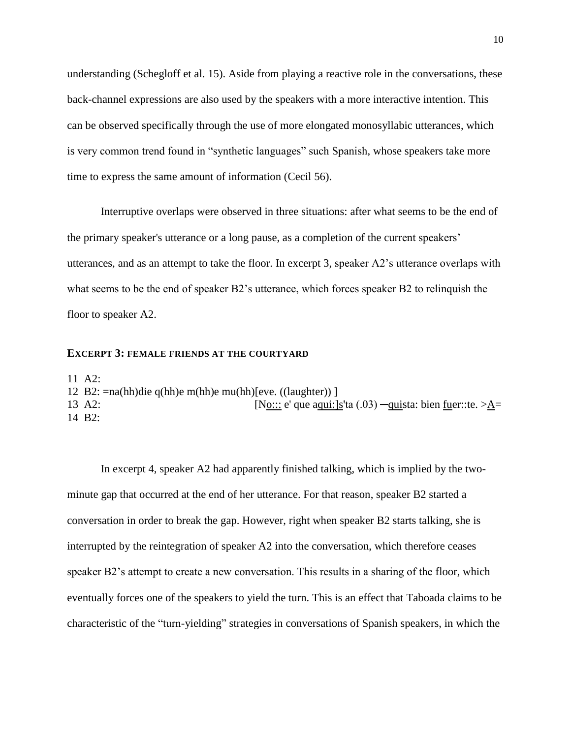understanding (Schegloff et al. 15). Aside from playing a reactive role in the conversations, these back-channel expressions are also used by the speakers with a more interactive intention. This can be observed specifically through the use of more elongated monosyllabic utterances, which is very common trend found in "synthetic languages" such Spanish, whose speakers take more time to express the same amount of information (Cecil 56).

Interruptive overlaps were observed in three situations: after what seems to be the end of the primary speaker's utterance or a long pause, as a completion of the current speakers' utterances, and as an attempt to take the floor. In excerpt 3, speaker A2's utterance overlaps with what seems to be the end of speaker B2's utterance, which forces speaker B2 to relinquish the floor to speaker A2.

### **EXCERPT 3: FEMALE FRIENDS AT THE COURTYARD**

11 A2:

- 12 B2: =na(hh)die q(hh)e m(hh)e mu(hh)[eve. ((laughter)) ]
- 13 A2:  $[No::: e' que aqui:]s'ta (.03) -quista: bien fuer::te. > A=$ 14 B2:

In excerpt 4, speaker A2 had apparently finished talking, which is implied by the twominute gap that occurred at the end of her utterance. For that reason, speaker B2 started a conversation in order to break the gap. However, right when speaker B2 starts talking, she is interrupted by the reintegration of speaker A2 into the conversation, which therefore ceases speaker B2's attempt to create a new conversation. This results in a sharing of the floor, which eventually forces one of the speakers to yield the turn. This is an effect that Taboada claims to be characteristic of the "turn-yielding" strategies in conversations of Spanish speakers, in which the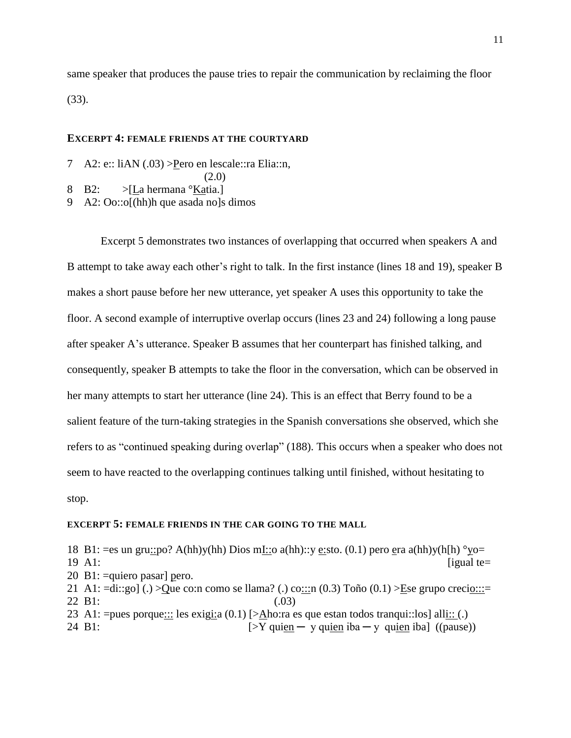same speaker that produces the pause tries to repair the communication by reclaiming the floor (33).

## **EXCERPT 4: FEMALE FRIENDS AT THE COURTYARD**

7 A2: e:: liAN (.03) > Pero en lescale:: ra Elia:: n,

```
 (2.0)
```
- 8 B2: >[La hermana °Katia.]
- 9 A2: Oo::o[(hh)h que asada no]s dimos

Excerpt 5 demonstrates two instances of overlapping that occurred when speakers A and B attempt to take away each other's right to talk. In the first instance (lines 18 and 19), speaker B makes a short pause before her new utterance, yet speaker A uses this opportunity to take the floor. A second example of interruptive overlap occurs (lines 23 and 24) following a long pause after speaker A's utterance. Speaker B assumes that her counterpart has finished talking, and consequently, speaker B attempts to take the floor in the conversation, which can be observed in her many attempts to start her utterance (line 24). This is an effect that Berry found to be a salient feature of the turn-taking strategies in the Spanish conversations she observed, which she refers to as "continued speaking during overlap" (188). This occurs when a speaker who does not seem to have reacted to the overlapping continues talking until finished, without hesitating to stop.

### **EXCERPT 5: FEMALE FRIENDS IN THE CAR GOING TO THE MALL**

18 B1: =es un gru::po? A(hh)y(hh) Dios mI::o a(hh)::y e:sto. (0.1) pero era a(hh)y(h[h)  $\degree$ yo=  $19$  A1: [igual te= 20 B1: =quiero pasar] pero. 21 A1:  $=$ di::go] (.) >Que co:n como se llama? (.) co:::n (0.3) Toño (0.1) >Ese grupo crecio:::= 22 B1: (.03) 23 A1: = pues porque $::$ : les exigi $: a(0.1)$  [> $\Delta$ ho:ra es que estan todos tranqui:: los] all $:: (.)$ 24 B1:  $[>Y$  quien  $-$  y quien iba  $-$  y quien iba] ((pause))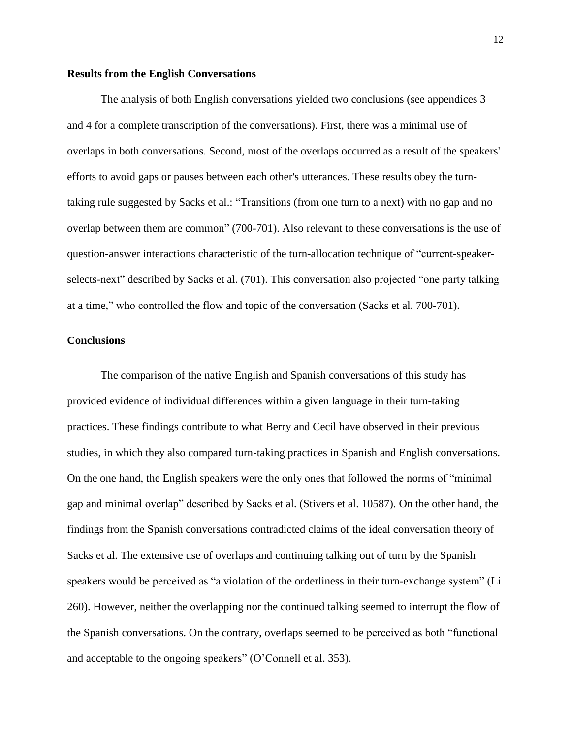#### **Results from the English Conversations**

The analysis of both English conversations yielded two conclusions (see appendices 3 and 4 for a complete transcription of the conversations). First, there was a minimal use of overlaps in both conversations. Second, most of the overlaps occurred as a result of the speakers' efforts to avoid gaps or pauses between each other's utterances. These results obey the turntaking rule suggested by Sacks et al.: "Transitions (from one turn to a next) with no gap and no overlap between them are common" (700-701). Also relevant to these conversations is the use of question-answer interactions characteristic of the turn-allocation technique of "current-speakerselects-next" described by Sacks et al. (701). This conversation also projected "one party talking at a time," who controlled the flow and topic of the conversation (Sacks et al. 700-701).

# **Conclusions**

The comparison of the native English and Spanish conversations of this study has provided evidence of individual differences within a given language in their turn-taking practices. These findings contribute to what Berry and Cecil have observed in their previous studies, in which they also compared turn-taking practices in Spanish and English conversations. On the one hand, the English speakers were the only ones that followed the norms of "minimal gap and minimal overlap" described by Sacks et al. (Stivers et al. 10587). On the other hand, the findings from the Spanish conversations contradicted claims of the ideal conversation theory of Sacks et al. The extensive use of overlaps and continuing talking out of turn by the Spanish speakers would be perceived as "a violation of the orderliness in their turn-exchange system" (Li 260). However, neither the overlapping nor the continued talking seemed to interrupt the flow of the Spanish conversations. On the contrary, overlaps seemed to be perceived as both "functional and acceptable to the ongoing speakers" (O'Connell et al. 353).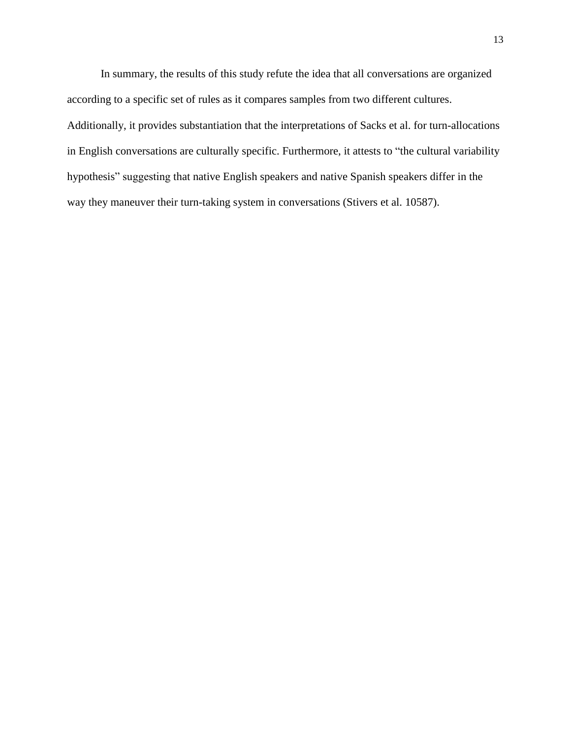In summary, the results of this study refute the idea that all conversations are organized according to a specific set of rules as it compares samples from two different cultures. Additionally, it provides substantiation that the interpretations of Sacks et al. for turn-allocations in English conversations are culturally specific. Furthermore, it attests to "the cultural variability hypothesis" suggesting that native English speakers and native Spanish speakers differ in the way they maneuver their turn-taking system in conversations (Stivers et al. 10587).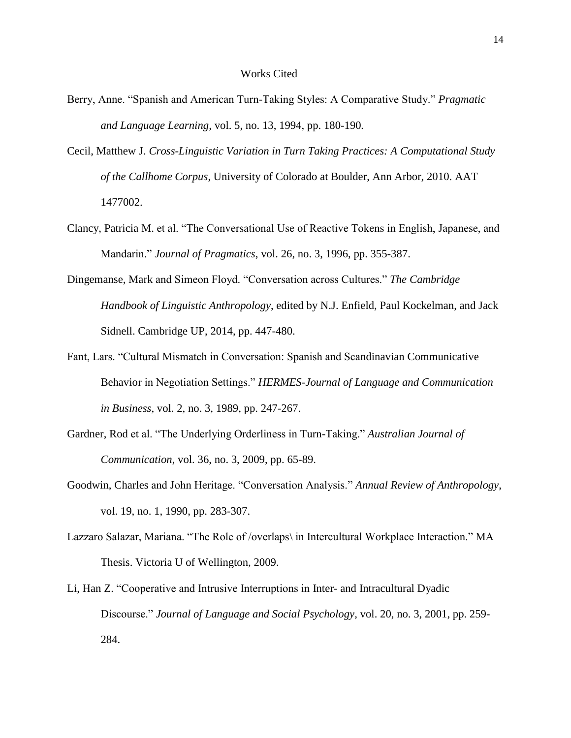- Berry, Anne. "Spanish and American Turn-Taking Styles: A Comparative Study." *Pragmatic and Language Learning,* vol. 5, no. 13, 1994, pp. 180-190*.*
- Cecil, Matthew J. *Cross-Linguistic Variation in Turn Taking Practices: A Computational Study of the Callhome Corpus*, University of Colorado at Boulder, Ann Arbor, 2010. AAT 1477002.
- Clancy, Patricia M. et al. "The Conversational Use of Reactive Tokens in English, Japanese, and Mandarin." *Journal of Pragmatics*, vol. 26, no. 3, 1996, pp. 355-387.
- Dingemanse, Mark and Simeon Floyd. "Conversation across Cultures." *The Cambridge Handbook of Linguistic Anthropology*, edited by N.J. Enfield, Paul Kockelman, and Jack Sidnell. Cambridge UP, 2014, pp. 447-480.
- Fant, Lars. "Cultural Mismatch in Conversation: Spanish and Scandinavian Communicative Behavior in Negotiation Settings." *HERMES-Journal of Language and Communication in Business*, vol. 2, no. 3, 1989, pp. 247-267.
- Gardner, Rod et al. "The Underlying Orderliness in Turn-Taking." *Australian Journal of Communication*, vol. 36, no. 3, 2009, pp. 65-89.
- Goodwin, Charles and John Heritage. "Conversation Analysis." *Annual Review of Anthropology*, vol. 19, no. 1, 1990, pp. 283-307.
- Lazzaro Salazar, Mariana. "The Role of /overlaps\ in Intercultural Workplace Interaction." MA Thesis. Victoria U of Wellington, 2009.
- Li, Han Z. "Cooperative and Intrusive Interruptions in Inter- and Intracultural Dyadic Discourse." *Journal of Language and Social Psychology*, vol. 20, no. 3, 2001, pp. 259- 284.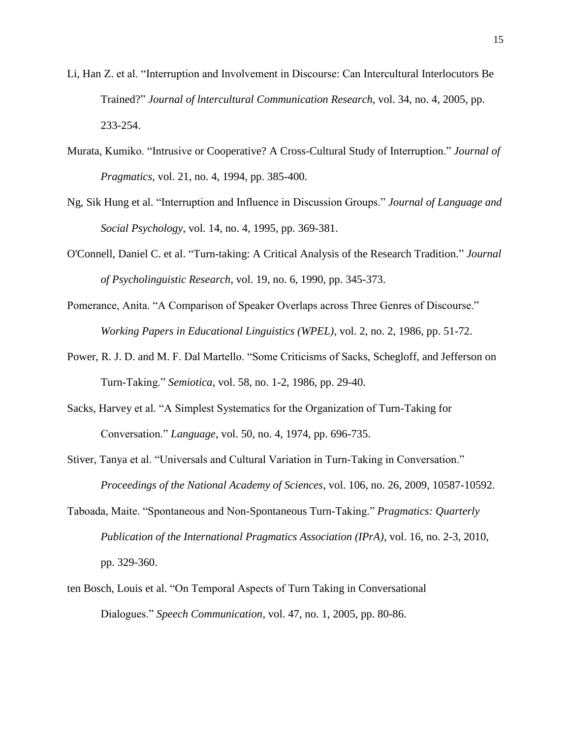- Li, Han Z. et al. "Interruption and Involvement in Discourse: Can Intercultural Interlocutors Be Trained?" *Journal of lntercultural Communication Research*, vol. 34, no. 4, 2005, pp. 233-254.
- Murata, Kumiko. "Intrusive or Cooperative? A Cross-Cultural Study of Interruption." *Journal of Pragmatics*, vol. 21, no. 4, 1994, pp. 385-400.
- Ng, Sik Hung et al. "Interruption and Influence in Discussion Groups." *Journal of Language and Social Psychology*, vol. 14, no. 4, 1995, pp. 369-381.
- O'Connell, Daniel C. et al. "Turn-taking: A Critical Analysis of the Research Tradition." *Journal of Psycholinguistic Research*, vol. 19, no. 6, 1990, pp. 345-373.
- Pomerance, Anita. "A Comparison of Speaker Overlaps across Three Genres of Discourse." *Working Papers in Educational Linguistics (WPEL)*, vol. 2, no. 2, 1986, pp. 51-72.
- Power, R. J. D. and M. F. Dal Martello. "Some Criticisms of Sacks, Schegloff, and Jefferson on Turn-Taking." *Semiotica*, vol. 58, no. 1-2, 1986, pp. 29-40.
- Sacks, Harvey et al. "A Simplest Systematics for the Organization of Turn-Taking for Conversation." *Language*, vol. 50, no. 4, 1974, pp. 696-735.
- Stiver, Tanya et al. "Universals and Cultural Variation in Turn-Taking in Conversation." *Proceedings of the National Academy of Sciences*, vol. 106, no. 26, 2009, 10587-10592.
- Taboada, Maite. "Spontaneous and Non-Spontaneous Turn-Taking." *Pragmatics: Quarterly Publication of the International Pragmatics Association (IPrA)*, vol. 16, no. 2-3, 2010, pp. 329-360.
- ten Bosch, Louis et al. "On Temporal Aspects of Turn Taking in Conversational Dialogues." *Speech Communication*, vol. 47, no. 1, 2005, pp. 80-86.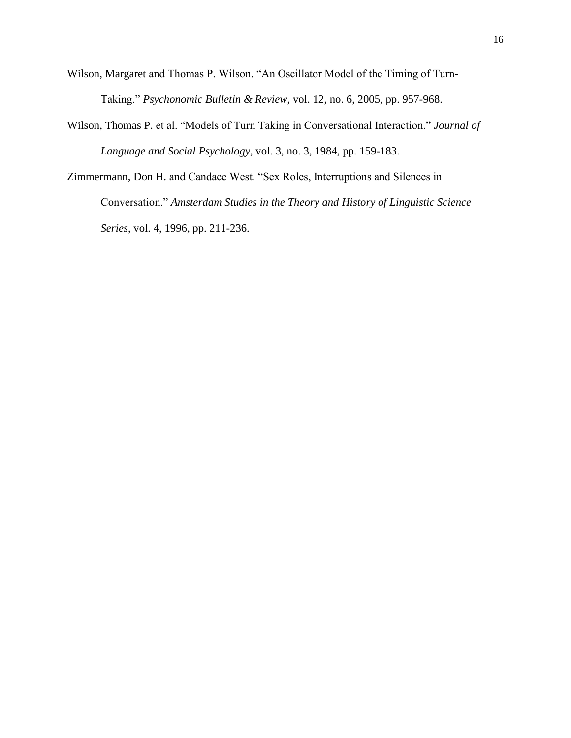Wilson, Margaret and Thomas P. Wilson. "An Oscillator Model of the Timing of Turn-Taking." *Psychonomic Bulletin & Review*, vol. 12, no. 6, 2005, pp. 957-968.

- Wilson, Thomas P. et al. "Models of Turn Taking in Conversational Interaction." *Journal of Language and Social Psychology*, vol. 3, no. 3, 1984, pp. 159-183.
- Zimmermann, Don H. and Candace West. "Sex Roles, Interruptions and Silences in Conversation." *Amsterdam Studies in the Theory and History of Linguistic Science Series*, vol. 4, 1996, pp. 211-236.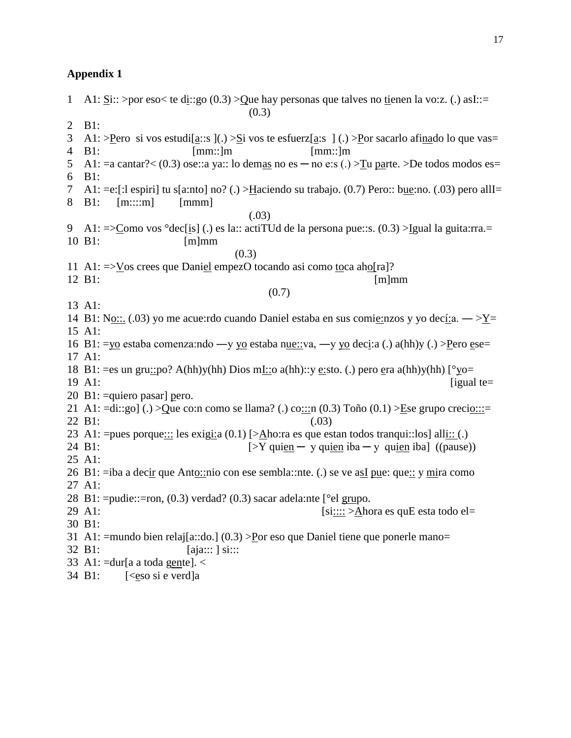1 A1:  $\text{Si::} > \text{por} \text{ eso} < \text{te} \text{ di::go} (0.3) > \text{Que}$  hay personas que talves no tienen la vo:z. (.) asI::= (0.3) 2 B1: 3 A1: >Pero si vos estudi $[a::s]$ (.) > $\Sigma$ i vos te esfuerz $[a:s]$ (.) >Por sacarlo afinado lo que vas= 4 B1: [mm::]m [mm::]m 5 A1: = a cantar?  $\lt (0.3)$  ose: a ya:: lo demas no es - no e: s (.)  $\gt$  Tu parte.  $\gt$  De todos modos es = 6 B1: 7 A1: =e:[:l espiri] tu s[a:nto] no? (.) >Haciendo su trabajo. (0.7) Pero:: bue:no. (.03) pero allI= 8 B1: [m::::m] [mmm] (.03) 9 A1:  $\leq$   $\leq$   $\leq$   $\leq$   $\leq$   $\leq$   $\leq$   $\leq$   $\leq$   $\leq$   $\leq$   $\leq$   $\leq$   $\leq$   $\leq$   $\leq$   $\leq$   $\leq$   $\leq$   $\leq$   $\leq$   $\leq$   $\leq$   $\leq$   $\leq$   $\leq$   $\leq$   $\leq$   $\leq$   $\leq$   $\leq$   $\leq$   $\leq$   $\leq$   $\leq$   $\leq$ 10 B1: [m]mm  $(0.3)$ 11 A1: =>Vos crees que Daniel empezO tocando asi como toca aho[ra]? 12 B1: [m]mm (0.7) 13 A1: 14 B1: No::. (.03) yo me acue:rdo cuando Daniel estaba en sus comie:nzos y yo decí:a. —  $>Y=$ 15 A1: 16 B1: =vo estaba comenza:ndo —v yo estaba nue::va, —v yo deci:a (.) a(hh)y (.) >Pero ese= 17 A1: 18 B1: =es un gru::po? A(hh)y(hh) Dios mI::o a(hh)::y e:sto. (.) pero era a(hh)y(hh)  $\lceil \sqrt[{\circ}]{y}$  =  $19$  A1: [igual te= 20 B1: =quiero pasar] pero. 21 A1:  $=$ di::go] (.) >Que co:n como se llama? (.) co:::n (0.3) Toño (0.1) >Ese grupo crecio:::= 22 B1: (.03) 23 A1: = pues porque::: les exigi: a  $(0.1)$  [> $\triangle$ ho: ra es que estan todos tranqui:: los] all $\underline{\text{il}}$ :: (.) 24 B1:  $[>Y$  quien  $-$  y quien iba  $-$  y quien iba] ((pause)) 25 A1: 26 B1: =iba a decir que Anto::nio con ese sembla::nte. (.) se ve asI pue: que:: y mira como 27 A1: 28 B1:  $=$ pudie:: $=$ ron, (0.3) verdad? (0.3) sacar adela:nte [ $\degree$ el grupo. 29 A1:  $[s:::: >Ahora es quE esta todo el=$ 30 B1: 31 A1: =mundo bien relaj[a::do.] (0.3) >Por eso que Daniel tiene que ponerle mano= 32 B1: [aja::: ] si::: 33 A1:  $=$ dur[a a toda gente].  $\lt$ 34 B1: [<eso si e verd]a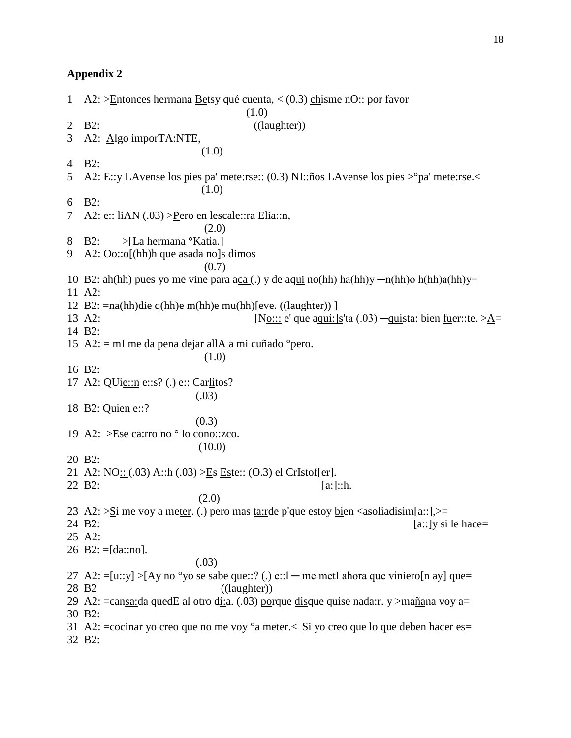1 A2:  $\geq$  Entonces hermana Betsy qué cuenta, < (0.3) chisme nO:: por favor  $(1.0)$ 2 B2: ((laughter)) 3 A2: Algo imporTA:NTE, (1.0) 4 B2: 5 A2: E::y LAvense los pies pa' mete:rse:: (0.3) NI::ños LAvense los pies >°pa' mete:rse.< (1.0) 6 B2: 7 A2: e:: liAN (.03) > Pero en lescale:: ra Elia:: n, (2.0) 8 B2: >[La hermana °Katia.] 9 A2: Oo::o[(hh)h que asada no]s dimos (0.7) 10 B2: ah(hh) pues yo me vine para aca (.) y de aqui no(hh) ha(hh)y  $-n(hh)$ o h(hh)a(hh)y= 11 A2: 12 B2: =na(hh)die q(hh)e m(hh)e mu(hh)[eve. ((laughter)) ] 13 A2:  $[N_0::: e'$  que aqui:  $[s'$ ta (.03)  $\frac{-qui}{s}$ ta: bien fuer::te. >A= 14 B2: 15 A2:  $=$  mI me da pena dejar allA a mi cuñado  $^{\circ}$ pero. (1.0) 16 B2: 17 A2: QUie::n e::s? (.) e:: Carlitos? (.03) 18 B2: Quien e::?  $(0.3)$ 19 A2: >Ese ca:rro no ° lo cono::zco. (10.0) 20 B2: 21 A2: NO:: (.03) A::h (.03) >Es Este:: (O.3) el CrIstof[er]. 22 B2:  $[a:]::h.$  (2.0) 23 A2:  $>$ Si me voy a meter. (.) pero mas ta: rde p'que estoy bien <asoliadisim[a::],  $>$ = 24 B2:  $[a::]$ y si le hace= 25 A2: 26 B2:  $=[\text{da::no}].$  (.03) 27 A2:  $=[u::y] > [Ay no <sup>o</sup>yo se sabe que::? (.) e::l - me metI ahora que viniero[n ay] que=$ 28 B2 ((laughter)) 29 A2:  $=$ cansa:da quedE al otro di:a. (.03) porque disque quise nada: r. y >mañana voy a $=$ 30 B2: 31 A2:  $=$ cocinar yo creo que no me voy  $\degree$ a meter.  $\lt$  Si yo creo que lo que deben hacer es $=$ 32 B2: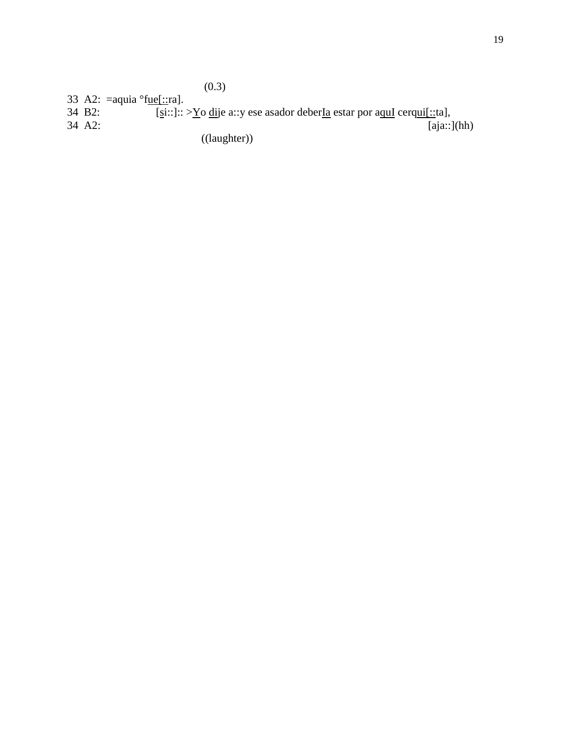33 A2: =aquia °f<u>ue[::</u>ra].<br>34 B2: [si::]::

34 B2:  $[si::]::>\underline{Yo}$  dije a::y ese asador deber<u>Ia</u> estar por aquI cerqui[::ta],<br>34 A2: [aja::]  $\overline{[aja::]}(hh)$ 

((laughter))

 $(0.3)$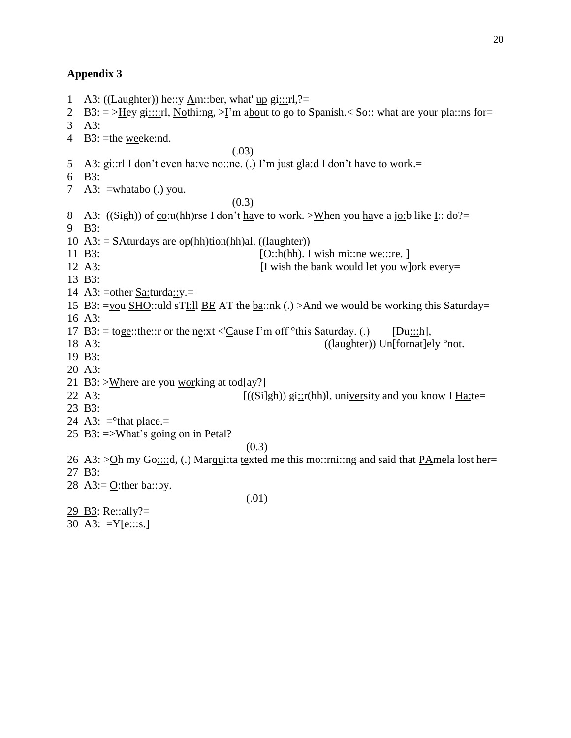1 A3: ((Laughter)) he::y Am::ber, what' up gi:::rl,?= 2 B3:  $=$  >Hey gi::::rl, Nothi:ng, >I'm about to go to Spanish.  $\leq$  So:: what are your pla::ns for= 3 A3: 4 B3: =the weeke:nd. (.03) 5 A3: gi::rl I don't even ha:ve no::ne. (.) I'm just gla:d I don't have to work.= 6 B3: 7 A3:  $=$ whatabo (.) you. (0.3) 8 A3: ((Sigh)) of co:u(hh)rse I don't have to work. >When you have a jo:b like I:: do?= 9 B3: 10 A3:  $=$  SAturdays are op(hh)tion(hh)al. ((laughter)) 11 B3:  $[O::h(hh)$ . I wish mi::ne we:::re. ] 12 A3: **I** wish the bank would let you w]ork every= 13 B3: 14 A3: = other  $S$ a: turda::  $y =$ 15 B3: =you SHO::uld sTI:ll BE AT the ba::nk (.) >And we would be working this Saturday= 16 A3: 17 B3: = toge::the::r or the ne:xt <'Cause I'm off °this Saturday. (.) [Du:::h], 18 A3: ((laughter)) Unfformat lely ° not. 19 B3: 20 A3: 21 B3: >Where are you working at tod[ay?] 22 A3:  $[(\text{(Silgh)}) \text{gi::r(hh)}]$ , university and you know I Ha:te= 23 B3: 24 A3:  $=$ <sup>o</sup>that place.= 25 B3: =>What's going on in Petal?  $(0.3)$ 26 A3:  $>$ Oh my Go::::d, (.) Marqui:ta texted me this mo::rni::ng and said that PAmela lost her= 27 B3: 28 A3:=  $Q$ :ther ba::by. (.01)

29 B3: Re::ally?=

30 A3:  $=Y[e::s.]$